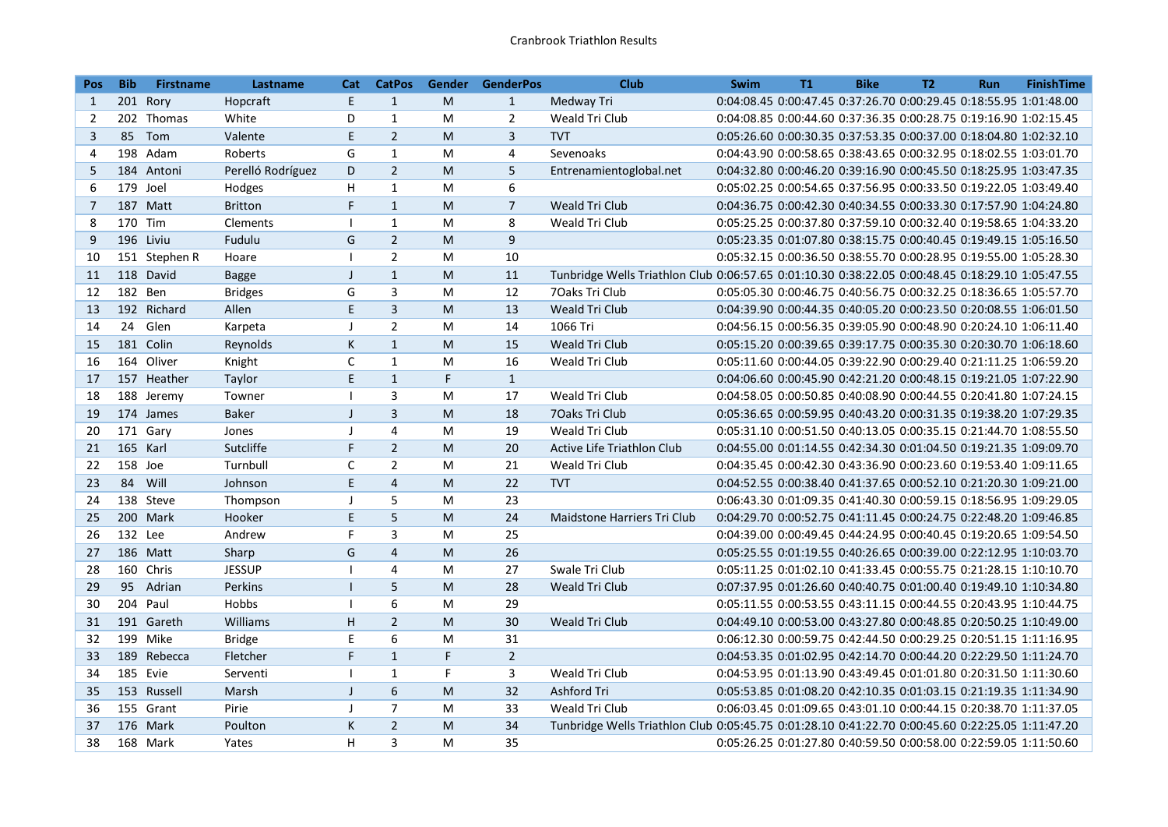| Pos:           | <b>Bib</b> | <b>Firstname</b> | Lastname          | Cat          | <b>CatPos</b>    | Gender | <b>GenderPos</b> | Club                                                                                             | Swim                                                              | <b>T1</b> | <b>Bike</b> | <b>T2</b> | <b>Run</b>                                                        | <b>FinishTime</b> |
|----------------|------------|------------------|-------------------|--------------|------------------|--------|------------------|--------------------------------------------------------------------------------------------------|-------------------------------------------------------------------|-----------|-------------|-----------|-------------------------------------------------------------------|-------------------|
| 1              |            | 201 Rory         | Hopcraft          | E            | $\mathbf{1}$     | M      | $\mathbf{1}$     | Medway Tri                                                                                       |                                                                   |           |             |           | 0:04:08.45 0:00:47.45 0:37:26.70 0:00:29.45 0:18:55.95 1:01:48.00 |                   |
| 2              |            | 202 Thomas       | White             | D            | $\mathbf{1}$     | M      | $\overline{2}$   | Weald Tri Club                                                                                   |                                                                   |           |             |           | 0:04:08.85 0:00:44.60 0:37:36.35 0:00:28.75 0:19:16.90 1:02:15.45 |                   |
| 3              | 85         | Tom              | Valente           | E            | $\overline{2}$   | M      | $\mathbf{3}$     | <b>TVT</b>                                                                                       |                                                                   |           |             |           | 0:05:26.60 0:00:30.35 0:37:53.35 0:00:37.00 0:18:04.80 1:02:32.10 |                   |
| 4              |            | 198 Adam         | Roberts           | G            | $\mathbf{1}$     | M      | 4                | Sevenoaks                                                                                        |                                                                   |           |             |           | 0:04:43.90 0:00:58.65 0:38:43.65 0:00:32.95 0:18:02.55 1:03:01.70 |                   |
| 5              |            | 184 Antoni       | Perelló Rodríguez | D            | $\overline{2}$   | M      | 5                | Entrenamientoglobal.net                                                                          |                                                                   |           |             |           | 0:04:32.80 0:00:46.20 0:39:16.90 0:00:45.50 0:18:25.95 1:03:47.35 |                   |
| 6              |            | 179 Joel         | Hodges            | H            | $\mathbf{1}$     | M      | 6                |                                                                                                  |                                                                   |           |             |           | 0:05:02.25 0:00:54.65 0:37:56.95 0:00:33.50 0:19:22.05 1:03:49.40 |                   |
| $\overline{7}$ |            | 187 Matt         | <b>Britton</b>    | F            | $\mathbf{1}$     | M      | $\overline{7}$   | Weald Tri Club                                                                                   |                                                                   |           |             |           | 0:04:36.75 0:00:42.30 0:40:34.55 0:00:33.30 0:17:57.90 1:04:24.80 |                   |
| 8              |            | 170 Tim          | Clements          |              | $\mathbf{1}$     | M      | 8                | Weald Tri Club                                                                                   |                                                                   |           |             |           | 0:05:25.25 0:00:37.80 0:37:59.10 0:00:32.40 0:19:58.65 1:04:33.20 |                   |
| 9              |            | 196 Liviu        | Fudulu            | G            | $\overline{2}$   | M      | 9                |                                                                                                  |                                                                   |           |             |           | 0:05:23.35 0:01:07.80 0:38:15.75 0:00:40.45 0:19:49.15 1:05:16.50 |                   |
| 10             |            | 151 Stephen R    | Hoare             | $\mathbf{I}$ | $\overline{2}$   | M      | 10               |                                                                                                  |                                                                   |           |             |           | 0:05:32.15 0:00:36.50 0:38:55.70 0:00:28.95 0:19:55.00 1:05:28.30 |                   |
| 11             |            | 118 David        | <b>Bagge</b>      | $\mathsf{J}$ | $\mathbf{1}$     | M      | 11               | Tunbridge Wells Triathlon Club 0:06:57.65 0:01:10.30 0:38:22.05 0:00:48.45 0:18:29.10 1:05:47.55 |                                                                   |           |             |           |                                                                   |                   |
| 12             | 182 Ben    |                  | <b>Bridges</b>    | G            | 3                | M      | 12               | 70aks Tri Club                                                                                   |                                                                   |           |             |           | 0:05:05.30 0:00:46.75 0:40:56.75 0:00:32.25 0:18:36.65 1:05:57.70 |                   |
| 13             |            | 192 Richard      | Allen             | E            | $\overline{3}$   | M      | 13               | Weald Tri Club                                                                                   |                                                                   |           |             |           | 0:04:39.90 0:00:44.35 0:40:05.20 0:00:23.50 0:20:08.55 1:06:01.50 |                   |
| 14             | 24         | Glen             | Karpeta           | $\perp$      | $\overline{2}$   | M      | 14               | 1066 Tri                                                                                         |                                                                   |           |             |           | 0:04:56.15 0:00:56.35 0:39:05.90 0:00:48.90 0:20:24.10 1:06:11.40 |                   |
| 15             |            | 181 Colin        | Reynolds          | K            | $\mathbf{1}$     | M      | 15               | Weald Tri Club                                                                                   |                                                                   |           |             |           | 0:05:15.20 0:00:39.65 0:39:17.75 0:00:35.30 0:20:30.70 1:06:18.60 |                   |
| 16             |            | 164 Oliver       | Knight            | C            | $\mathbf{1}$     | M      | 16               | Weald Tri Club                                                                                   |                                                                   |           |             |           | 0:05:11.60 0:00:44.05 0:39:22.90 0:00:29.40 0:21:11.25 1:06:59.20 |                   |
| 17             |            | 157 Heather      | Taylor            | E            | $\mathbf{1}$     | F.     | $\mathbf{1}$     |                                                                                                  |                                                                   |           |             |           | 0:04:06.60 0:00:45.90 0:42:21.20 0:00:48.15 0:19:21.05 1:07:22.90 |                   |
| 18             |            | 188 Jeremy       | Towner            | $\mathbf{I}$ | $\mathbf{3}$     | M      | 17               | Weald Tri Club                                                                                   |                                                                   |           |             |           | 0:04:58.05 0:00:50.85 0:40:08.90 0:00:44.55 0:20:41.80 1:07:24.15 |                   |
| 19             |            | 174 James        | <b>Baker</b>      | J            | 3                | M      | 18               | 70aks Tri Club                                                                                   |                                                                   |           |             |           | 0:05:36.65 0:00:59.95 0:40:43.20 0:00:31.35 0:19:38.20 1:07:29.35 |                   |
| 20             |            | 171 Gary         | Jones             | J            | $\overline{4}$   | M      | 19               | Weald Tri Club                                                                                   |                                                                   |           |             |           | 0:05:31.10 0:00:51.50 0:40:13.05 0:00:35.15 0:21:44.70 1:08:55.50 |                   |
| 21             | 165 Karl   |                  | Sutcliffe         | F            | $\overline{2}$   | M      | 20               | Active Life Triathlon Club                                                                       |                                                                   |           |             |           | 0:04:55.00 0:01:14.55 0:42:34.30 0:01:04.50 0:19:21.35 1:09:09.70 |                   |
| 22             | 158 Joe    |                  | Turnbull          | $\mathsf{C}$ | $\overline{2}$   | M      | 21               | Weald Tri Club                                                                                   |                                                                   |           |             |           | 0:04:35.45 0:00:42.30 0:43:36.90 0:00:23.60 0:19:53.40 1:09:11.65 |                   |
| 23             | 84         | Will             | Johnson           | E            | $\overline{4}$   | M      | 22               | <b>TVT</b>                                                                                       |                                                                   |           |             |           | 0:04:52.55 0:00:38.40 0:41:37.65 0:00:52.10 0:21:20.30 1:09:21.00 |                   |
| 24             |            | 138 Steve        | Thompson          | J            | 5                | M      | 23               |                                                                                                  |                                                                   |           |             |           | 0:06:43.30 0:01:09.35 0:41:40.30 0:00:59.15 0:18:56.95 1:09:29.05 |                   |
| 25             |            | 200 Mark         | Hooker            | E            | 5                | M      | 24               | Maidstone Harriers Tri Club                                                                      |                                                                   |           |             |           | 0:04:29.70 0:00:52.75 0:41:11.45 0:00:24.75 0:22:48.20 1:09:46.85 |                   |
| 26             | 132 Lee    |                  | Andrew            | F            | $\overline{3}$   | M      | 25               |                                                                                                  | 0:04:39.00 0:00:49.45 0:44:24.95 0:00:40.45 0:19:20.65 1:09:54.50 |           |             |           |                                                                   |                   |
| 27             |            | 186 Matt         | Sharp             | G            | $\overline{4}$   | M      | 26               |                                                                                                  |                                                                   |           |             |           | 0:05:25.55 0:01:19.55 0:40:26.65 0:00:39.00 0:22:12.95 1:10:03.70 |                   |
| 28             |            | 160 Chris        | <b>JESSUP</b>     |              | $\overline{4}$   | M      | 27               | Swale Tri Club                                                                                   |                                                                   |           |             |           | 0:05:11.25 0:01:02.10 0:41:33.45 0:00:55.75 0:21:28.15 1:10:10.70 |                   |
| 29             | 95         | Adrian           | Perkins           | $\mathbf{I}$ | 5                | M      | 28               | Weald Tri Club                                                                                   |                                                                   |           |             |           | 0:07:37.95 0:01:26.60 0:40:40.75 0:01:00.40 0:19:49.10 1:10:34.80 |                   |
| 30             |            | 204 Paul         | Hobbs             | $\mathbf{I}$ | 6                | M      | 29               |                                                                                                  |                                                                   |           |             |           | 0:05:11.55 0:00:53.55 0:43:11.15 0:00:44.55 0:20:43.95 1:10:44.75 |                   |
| 31             |            | 191 Gareth       | Williams          | H            | $\overline{2}$   | M      | 30               | Weald Tri Club                                                                                   |                                                                   |           |             |           | 0:04:49.10 0:00:53.00 0:43:27.80 0:00:48.85 0:20:50.25 1:10:49.00 |                   |
| 32             |            | 199 Mike         | <b>Bridge</b>     | Ε            | $\boldsymbol{6}$ | M      | 31               |                                                                                                  |                                                                   |           |             |           | 0:06:12.30 0:00:59.75 0:42:44.50 0:00:29.25 0:20:51.15 1:11:16.95 |                   |
| 33             |            | 189 Rebecca      | Fletcher          | F            | $\mathbf{1}$     | F      | $\overline{2}$   |                                                                                                  |                                                                   |           |             |           | 0:04:53.35 0:01:02.95 0:42:14.70 0:00:44.20 0:22:29.50 1:11:24.70 |                   |
| 34             |            | 185 Evie         | Serventi          | $\mathbf{I}$ | $\mathbf{1}$     | F      | 3                | Weald Tri Club                                                                                   |                                                                   |           |             |           | 0:04:53.95 0:01:13.90 0:43:49.45 0:01:01.80 0:20:31.50 1:11:30.60 |                   |
| 35             |            | 153 Russell      | Marsh             | J            | 6                | M      | 32               | Ashford Tri                                                                                      |                                                                   |           |             |           | 0:05:53.85 0:01:08.20 0:42:10.35 0:01:03.15 0:21:19.35 1:11:34.90 |                   |
| 36             |            | 155 Grant        | Pirie             | $\perp$      | $\overline{7}$   | M      | 33               | Weald Tri Club                                                                                   |                                                                   |           |             |           | 0:06:03.45 0:01:09.65 0:43:01.10 0:00:44.15 0:20:38.70 1:11:37.05 |                   |
| 37             |            | 176 Mark         | Poulton           | K            | $\overline{2}$   | M      | 34               | Tunbridge Wells Triathlon Club 0:05:45.75 0:01:28.10 0:41:22.70 0:00:45.60 0:22:25.05 1:11:47.20 |                                                                   |           |             |           |                                                                   |                   |
| 38             |            | 168 Mark         | Yates             | H            | 3                | M      | 35               |                                                                                                  |                                                                   |           |             |           | 0:05:26.25 0:01:27.80 0:40:59.50 0:00:58.00 0:22:59.05 1:11:50.60 |                   |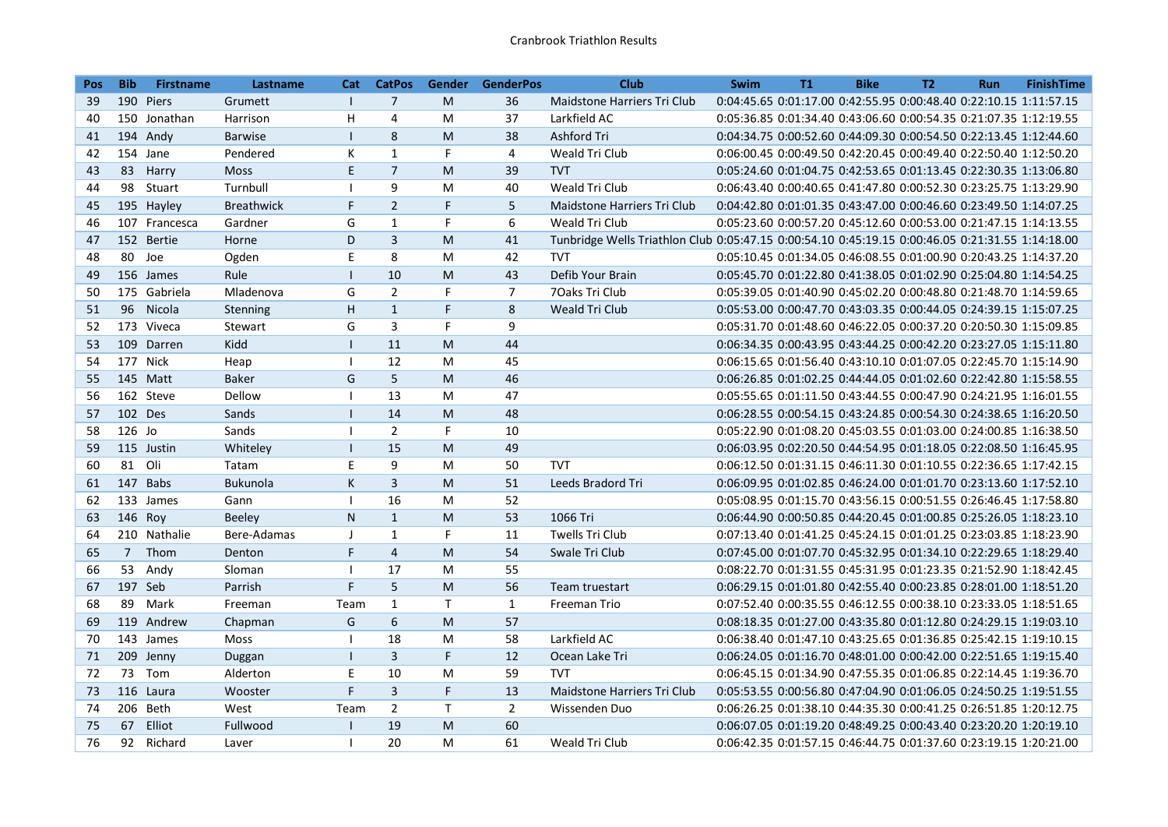| <b>Pos</b> | <b>Bib</b>  | <b>Firstname</b> | Lastname          | Cat                      | <b>CatPos</b>           |              | Gender GenderPos | <b>Club</b>                                                                                      | <b>Swim</b> | <b>T1</b> | <b>Bike</b> | <b>T2</b> | <b>Run</b>                                                        | <b>FinishTime</b> |
|------------|-------------|------------------|-------------------|--------------------------|-------------------------|--------------|------------------|--------------------------------------------------------------------------------------------------|-------------|-----------|-------------|-----------|-------------------------------------------------------------------|-------------------|
| 39         |             | 190 Piers        | Grumett           | $\mathbf{I}$             | $\overline{7}$          | M            | 36               | Maidstone Harriers Tri Club                                                                      |             |           |             |           | 0:04:45.65 0:01:17.00 0:42:55.95 0:00:48.40 0:22:10.15 1:11:57.15 |                   |
| 40         |             | 150 Jonathan     | Harrison          | Н                        | $\overline{\mathbf{4}}$ | M            | 37               | Larkfield AC                                                                                     |             |           |             |           | 0:05:36.85 0:01:34.40 0:43:06.60 0:00:54.35 0:21:07.35 1:12:19.55 |                   |
| 41         |             | 194 Andy         | <b>Barwise</b>    | $\mathbf{I}$             | 8                       | M            | 38               | <b>Ashford Tri</b>                                                                               |             |           |             |           | 0:04:34.75 0:00:52.60 0:44:09.30 0:00:54.50 0:22:13.45 1:12:44.60 |                   |
| 42         |             | 154 Jane         | Pendered          | К                        | $\mathbf{1}$            | $\mathsf F$  | 4                | Weald Tri Club                                                                                   |             |           |             |           | 0:06:00.45 0:00:49.50 0:42:20.45 0:00:49.40 0:22:50.40 1:12:50.20 |                   |
| 43         | 83          | Harry            | <b>Moss</b>       | E.                       | $\overline{7}$          | M            | 39               | <b>TVT</b>                                                                                       |             |           |             |           | 0:05:24.60 0:01:04.75 0:42:53.65 0:01:13.45 0:22:30.35 1:13:06.80 |                   |
| 44         | 98          | Stuart           | Turnbull          | $\overline{1}$           | 9                       | M            | 40               | Weald Tri Club                                                                                   |             |           |             |           | 0:06:43.40 0:00:40.65 0:41:47.80 0:00:52.30 0:23:25.75 1:13:29.90 |                   |
| 45         |             | 195 Hayley       | <b>Breathwick</b> | F.                       | $\overline{2}$          | F            | 5                | Maidstone Harriers Tri Club                                                                      |             |           |             |           | 0:04:42.80 0:01:01.35 0:43:47.00 0:00:46.60 0:23:49.50 1:14:07.25 |                   |
| 46         |             | 107 Francesca    | Gardner           | G                        | $\mathbf{1}$            | F            | 6                | Weald Tri Club                                                                                   |             |           |             |           | 0:05:23.60 0:00:57.20 0:45:12.60 0:00:53.00 0:21:47.15 1:14:13.55 |                   |
| 47         |             | 152 Bertie       | Horne             | D                        | $\overline{3}$          | M            | 41               | Tunbridge Wells Triathlon Club 0:05:47.15 0:00:54.10 0:45:19.15 0:00:46.05 0:21:31.55 1:14:18.00 |             |           |             |           |                                                                   |                   |
| 48         |             | 80 Joe           | Ogden             | E                        | 8                       | M            | 42               | <b>TVT</b>                                                                                       |             |           |             |           | 0:05:10.45 0:01:34.05 0:46:08.55 0:01:00.90 0:20:43.25 1:14:37.20 |                   |
| 49         |             | 156 James        | Rule              | $\mathbf{I}$             | 10                      | M            | 43               | Defib Your Brain                                                                                 |             |           |             |           | 0:05:45.70 0:01:22.80 0:41:38.05 0:01:02.90 0:25:04.80 1:14:54.25 |                   |
| 50         |             | 175 Gabriela     | Mladenova         | G                        | $\overline{2}$          | F.           | $\overline{7}$   | 70aks Tri Club                                                                                   |             |           |             |           | 0:05:39.05 0:01:40.90 0:45:02.20 0:00:48.80 0:21:48.70 1:14:59.65 |                   |
| 51         | 96          | Nicola           | Stenning          | H                        | $\mathbf{1}$            | F.           | 8                | Weald Tri Club                                                                                   |             |           |             |           | 0:05:53.00 0:00:47.70 0:43:03.35 0:00:44.05 0:24:39.15 1:15:07.25 |                   |
| 52         |             | 173 Viveca       | Stewart           | G                        | 3                       | F.           | 9                |                                                                                                  |             |           |             |           | 0:05:31.70 0:01:48.60 0:46:22.05 0:00:37.20 0:20:50.30 1:15:09.85 |                   |
| 53         |             | 109 Darren       | Kidd              | $\mathbf{I}$             | 11                      | M            | 44               |                                                                                                  |             |           |             |           | 0:06:34.35 0:00:43.95 0:43:44.25 0:00:42.20 0:23:27.05 1:15:11.80 |                   |
| 54         |             | 177 Nick         | Heap              | $\overline{1}$           | 12                      | M            | 45               |                                                                                                  |             |           |             |           | 0:06:15.65 0:01:56.40 0:43:10.10 0:01:07.05 0:22:45.70 1:15:14.90 |                   |
| 55         |             | 145 Matt         | <b>Baker</b>      | G                        | 5                       | M            | 46               |                                                                                                  |             |           |             |           | 0:06:26.85 0:01:02.25 0:44:44.05 0:01:02.60 0:22:42.80 1:15:58.55 |                   |
| 56         |             | 162 Steve        | Dellow            | $\mathbf{I}$             | 13                      | M            | 47               |                                                                                                  |             |           |             |           | 0:05:55.65 0:01:11.50 0:43:44.55 0:00:47.90 0:24:21.95 1:16:01.55 |                   |
| 57         | 102 Des     |                  | Sands             | $\mathbf{I}$             | 14                      | M            | 48               |                                                                                                  |             |           |             |           | 0:06:28.55 0:00:54.15 0:43:24.85 0:00:54.30 0:24:38.65 1:16:20.50 |                   |
| 58         | 126 Jo      |                  | Sands             | $\overline{1}$           | $\overline{2}$          | F            | 10               |                                                                                                  |             |           |             |           | 0:05:22.90 0:01:08.20 0:45:03.55 0:01:03.00 0:24:00.85 1:16:38.50 |                   |
| 59         |             | 115 Justin       | Whiteley          | $\mathbf{I}$             | 15                      | M            | 49               |                                                                                                  |             |           |             |           | 0:06:03.95 0:02:20.50 0:44:54.95 0:01:18.05 0:22:08.50 1:16:45.95 |                   |
| 60         | 81 Oli      |                  | Tatam             | E                        | 9                       | M            | 50               | <b>TVT</b>                                                                                       |             |           |             |           | 0:06:12.50 0:01:31.15 0:46:11.30 0:01:10.55 0:22:36.65 1:17:42.15 |                   |
| 61         |             | 147 Babs         | <b>Bukunola</b>   | К                        | $\overline{\mathbf{3}}$ | M            | 51               | Leeds Bradord Tri                                                                                |             |           |             |           | 0:06:09.95 0:01:02.85 0:46:24.00 0:01:01.70 0:23:13.60 1:17:52.10 |                   |
| 62         |             | 133 James        | Gann              | $\mathbf{I}$             | 16                      | M            | 52               |                                                                                                  |             |           |             |           | 0:05:08.95 0:01:15.70 0:43:56.15 0:00:51.55 0:26:46.45 1:17:58.80 |                   |
| 63         | 146 Roy     |                  | <b>Beeley</b>     | $\mathsf{N}$             | $\mathbf{1}$            | M            | 53               | 1066 Tri                                                                                         |             |           |             |           | 0:06:44.90 0:00:50.85 0:44:20.45 0:01:00.85 0:25:26.05 1:18:23.10 |                   |
| 64         |             | 210 Nathalie     | Bere-Adamas       | J                        | $\mathbf{1}$            | F            | 11               | <b>Twells Tri Club</b>                                                                           |             |           |             |           | 0:07:13.40 0:01:41.25 0:45:24.15 0:01:01.25 0:23:03.85 1:18:23.90 |                   |
| 65         | $7^{\circ}$ | Thom             | Denton            | F                        | $\overline{4}$          | M            | 54               | Swale Tri Club                                                                                   |             |           |             |           | 0:07:45.00 0:01:07.70 0:45:32.95 0:01:34.10 0:22:29.65 1:18:29.40 |                   |
| 66         | 53          | Andy             | Sloman            | $\overline{1}$           | 17                      | M            | 55               |                                                                                                  |             |           |             |           | 0:08:22.70 0:01:31.55 0:45:31.95 0:01:23.35 0:21:52.90 1:18:42.45 |                   |
| 67         | 197 Seb     |                  | Parrish           | F                        | 5                       | M            | 56               | Team truestart                                                                                   |             |           |             |           | 0:06:29.15 0:01:01.80 0:42:55.40 0:00:23.85 0:28:01.00 1:18:51.20 |                   |
| 68         | 89          | Mark             | Freeman           | Team                     | $\mathbf{1}$            | $\mathsf{T}$ | $\mathbf{1}$     | Freeman Trio                                                                                     |             |           |             |           | 0:07:52.40 0:00:35.55 0:46:12.55 0:00:38.10 0:23:33.05 1:18:51.65 |                   |
| 69         |             | 119 Andrew       | Chapman           | G                        | $6\phantom{1}$          | M            | 57               |                                                                                                  |             |           |             |           | 0:08:18.35 0:01:27.00 0:43:35.80 0:01:12.80 0:24:29.15 1:19:03.10 |                   |
| 70         |             | 143 James        | Moss              | $\overline{1}$           | 18                      | M            | 58               | Larkfield AC                                                                                     |             |           |             |           | 0:06:38.40 0:01:47.10 0:43:25.65 0:01:36.85 0:25:42.15 1:19:10.15 |                   |
| 71         |             | 209 Jenny        | Duggan            | $\mathbf{I}$             | $\overline{3}$          | F            | 12               | Ocean Lake Tri                                                                                   |             |           |             |           | 0:06:24.05 0:01:16.70 0:48:01.00 0:00:42.00 0:22:51.65 1:19:15.40 |                   |
| 72         | 73          | Tom              | Alderton          | E                        | 10                      | M            | 59               | <b>TVT</b>                                                                                       |             |           |             |           | 0:06:45.15 0:01:34.90 0:47:55.35 0:01:06.85 0:22:14.45 1:19:36.70 |                   |
| 73         |             | 116 Laura        | Wooster           | F.                       | $\overline{3}$          | F            | 13               | Maidstone Harriers Tri Club                                                                      |             |           |             |           | 0:05:53.55 0:00:56.80 0:47:04.90 0:01:06.05 0:24:50.25 1:19:51.55 |                   |
| 74         |             | 206 Beth         | West              | Team                     | $\overline{2}$          | $\mathsf T$  | $\overline{2}$   | Wissenden Duo                                                                                    |             |           |             |           | 0:06:26.25 0:01:38.10 0:44:35.30 0:00:41.25 0:26:51.85 1:20:12.75 |                   |
| 75         | 67          | Elliot           | Fullwood          | 1                        | 19                      | M            | 60               |                                                                                                  |             |           |             |           | 0:06:07.05 0:01:19.20 0:48:49.25 0:00:43.40 0:23:20.20 1:20:19.10 |                   |
| 76         |             | 92 Richard       | Laver             | $\overline{\phantom{a}}$ | 20                      | M            | 61               | Weald Tri Club                                                                                   |             |           |             |           | 0:06:42.35 0:01:57.15 0:46:44.75 0:01:37.60 0:23:19.15 1:20:21.00 |                   |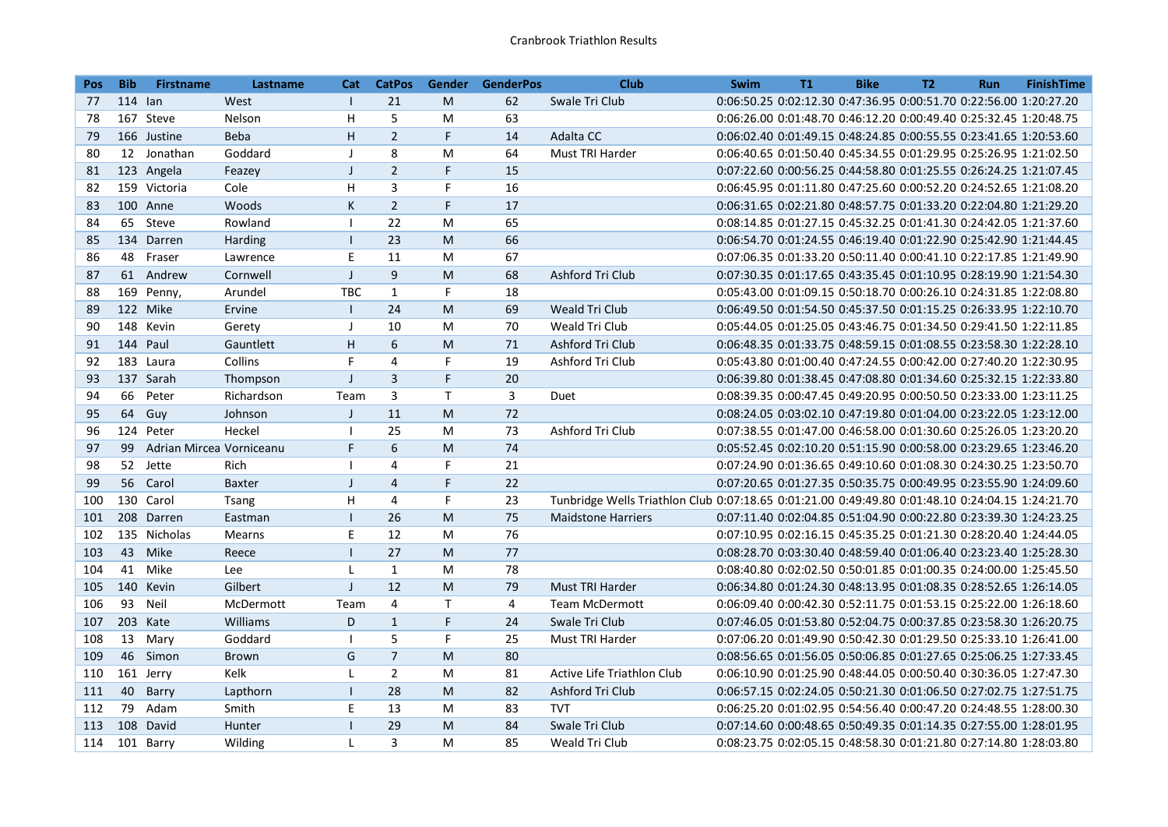| <b>Pos</b> | <b>Bib</b> | <b>Firstname</b>         | Lastname      | Cat            | <b>CatPos</b>    | Gender       | <b>GenderPos</b> | <b>Club</b>                                                                                      | <b>Swim</b> | <b>T1</b> | <b>Bike</b> | T <sub>2</sub> | <b>Run</b>                                                        | <b>FinishTime</b> |
|------------|------------|--------------------------|---------------|----------------|------------------|--------------|------------------|--------------------------------------------------------------------------------------------------|-------------|-----------|-------------|----------------|-------------------------------------------------------------------|-------------------|
| 77         | 114 lan    |                          | West          | $\perp$        | 21               | M            | 62               | Swale Tri Club                                                                                   |             |           |             |                | 0:06:50.25 0:02:12.30 0:47:36.95 0:00:51.70 0:22:56.00 1:20:27.20 |                   |
| 78         |            | 167 Steve                | Nelson        | H              | 5                | M            | 63               |                                                                                                  |             |           |             |                | 0:06:26.00 0:01:48.70 0:46:12.20 0:00:49.40 0:25:32.45 1:20:48.75 |                   |
| 79         |            | 166 Justine              | <b>Beba</b>   | H              | $\overline{2}$   | F            | 14               | Adalta CC                                                                                        |             |           |             |                | 0:06:02.40 0:01:49.15 0:48:24.85 0:00:55.55 0:23:41.65 1:20:53.60 |                   |
| 80         | 12         | Jonathan                 | Goddard       | $\mathbf{I}$   | 8                | M            | 64               | Must TRI Harder                                                                                  |             |           |             |                | 0:06:40.65 0:01:50.40 0:45:34.55 0:01:29.95 0:25:26.95 1:21:02.50 |                   |
| 81         |            | 123 Angela               | Feazey        | $\mathsf{I}$   | $\overline{2}$   | F            | 15               |                                                                                                  |             |           |             |                | 0:07:22.60 0:00:56.25 0:44:58.80 0:01:25.55 0:26:24.25 1:21:07.45 |                   |
| 82         |            | 159 Victoria             | Cole          | H              | 3                | F            | 16               |                                                                                                  |             |           |             |                | 0:06:45.95 0:01:11.80 0:47:25.60 0:00:52.20 0:24:52.65 1:21:08.20 |                   |
| 83         |            | 100 Anne                 | Woods         | K              | $\overline{2}$   | F            | 17               |                                                                                                  |             |           |             |                | 0:06:31.65 0:02:21.80 0:48:57.75 0:01:33.20 0:22:04.80 1:21:29.20 |                   |
| 84         |            | 65 Steve                 | Rowland       | $\mathbf{I}$   | 22               | M            | 65               |                                                                                                  |             |           |             |                | 0:08:14.85 0:01:27.15 0:45:32.25 0:01:41.30 0:24:42.05 1:21:37.60 |                   |
| 85         |            | 134 Darren               | Harding       | $\mathbf{I}$   | 23               | M            | 66               |                                                                                                  |             |           |             |                | 0:06:54.70 0:01:24.55 0:46:19.40 0:01:22.90 0:25:42.90 1:21:44.45 |                   |
| 86         | 48         | Fraser                   | Lawrence      | E              | 11               | M            | 67               |                                                                                                  |             |           |             |                | 0:07:06.35 0:01:33.20 0:50:11.40 0:00:41.10 0:22:17.85 1:21:49.90 |                   |
| 87         |            | 61 Andrew                | Cornwell      | $\mathsf J$    | $\boldsymbol{9}$ | M            | 68               | Ashford Tri Club                                                                                 |             |           |             |                | 0:07:30.35 0:01:17.65 0:43:35.45 0:01:10.95 0:28:19.90 1:21:54.30 |                   |
| 88         |            | 169 Penny,               | Arundel       | <b>TBC</b>     | $\mathbf{1}$     | F            | 18               |                                                                                                  |             |           |             |                | 0:05:43.00 0:01:09.15 0:50:18.70 0:00:26.10 0:24:31.85 1:22:08.80 |                   |
| 89         |            | 122 Mike                 | Ervine        | $\mathbf{I}$   | 24               | M            | 69               | Weald Tri Club                                                                                   |             |           |             |                | 0:06:49.50 0:01:54.50 0:45:37.50 0:01:15.25 0:26:33.95 1:22:10.70 |                   |
| 90         |            | 148 Kevin                | Gerety        | J              | 10               | M            | 70               | Weald Tri Club                                                                                   |             |           |             |                | 0:05:44.05 0:01:25.05 0:43:46.75 0:01:34.50 0:29:41.50 1:22:11.85 |                   |
| 91         |            | 144 Paul                 | Gauntlett     | H              | 6                | M            | 71               | Ashford Tri Club                                                                                 |             |           |             |                | 0:06:48.35 0:01:33.75 0:48:59.15 0:01:08.55 0:23:58.30 1:22:28.10 |                   |
| 92         |            | 183 Laura                | Collins       | F              | 4                | F            | 19               | Ashford Tri Club                                                                                 |             |           |             |                | 0:05:43.80 0:01:00.40 0:47:24.55 0:00:42.00 0:27:40.20 1:22:30.95 |                   |
| 93         |            | 137 Sarah                | Thompson      | $\mathsf{I}$   | $\overline{3}$   | F            | 20               |                                                                                                  |             |           |             |                | 0:06:39.80 0:01:38.45 0:47:08.80 0:01:34.60 0:25:32.15 1:22:33.80 |                   |
| 94         | 66         | Peter                    | Richardson    | Team           | 3                | T.           | 3                | Duet                                                                                             |             |           |             |                | 0:08:39.35 0:00:47.45 0:49:20.95 0:00:50.50 0:23:33.00 1:23:11.25 |                   |
| 95         | 64         | Guy                      | Johnson       | $\mathsf{I}$   | 11               | M            | 72               |                                                                                                  |             |           |             |                | 0:08:24.05 0:03:02.10 0:47:19.80 0:01:04.00 0:23:22.05 1:23:12.00 |                   |
| 96         |            | 124 Peter                | Heckel        | $\overline{1}$ | 25               | M            | 73               | Ashford Tri Club                                                                                 |             |           |             |                | 0:07:38.55 0:01:47.00 0:46:58.00 0:01:30.60 0:25:26.05 1:23:20.20 |                   |
| 97         | 99         | Adrian Mircea Vorniceanu |               | F              | 6                | M            | 74               |                                                                                                  |             |           |             |                | 0:05:52.45 0:02:10.20 0:51:15.90 0:00:58.00 0:23:29.65 1:23:46.20 |                   |
| 98         |            | 52 Jette                 | Rich          | $\overline{1}$ | 4                | F            | 21               |                                                                                                  |             |           |             |                | 0:07:24.90 0:01:36.65 0:49:10.60 0:01:08.30 0:24:30.25 1:23:50.70 |                   |
| 99         |            | 56 Carol                 | <b>Baxter</b> | $\mathsf{J}$   | $\overline{4}$   | F            | 22               |                                                                                                  |             |           |             |                | 0:07:20.65 0:01:27.35 0:50:35.75 0:00:49.95 0:23:55.90 1:24:09.60 |                   |
| 100        |            | 130 Carol                | Tsang         | H              | 4                | F            | 23               | Tunbridge Wells Triathlon Club 0:07:18.65 0:01:21.00 0:49:49.80 0:01:48.10 0:24:04.15 1:24:21.70 |             |           |             |                |                                                                   |                   |
| 101        |            | 208 Darren               | Eastman       | $\mathbf{I}$   | 26               | $\mathsf{M}$ | 75               | <b>Maidstone Harriers</b>                                                                        |             |           |             |                | 0:07:11.40 0:02:04.85 0:51:04.90 0:00:22.80 0:23:39.30 1:24:23.25 |                   |
| 102        |            | 135 Nicholas             | Mearns        | E              | 12               | M            | 76               |                                                                                                  |             |           |             |                | 0:07:10.95 0:02:16.15 0:45:35.25 0:01:21.30 0:28:20.40 1:24:44.05 |                   |
| 103        | 43         | Mike                     | Reece         | $\mathbf{I}$   | 27               | M            | 77               |                                                                                                  |             |           |             |                | 0:08:28.70 0:03:30.40 0:48:59.40 0:01:06.40 0:23:23.40 1:25:28.30 |                   |
| 104        | 41         | Mike                     | Lee           | L              | $\mathbf{1}$     | M            | 78               |                                                                                                  |             |           |             |                | 0:08:40.80 0:02:02.50 0:50:01.85 0:01:00.35 0:24:00.00 1:25:45.50 |                   |
| 105        |            | 140 Kevin                | Gilbert       | J.             | 12               | M            | 79               | <b>Must TRI Harder</b>                                                                           |             |           |             |                | 0:06:34.80 0:01:24.30 0:48:13.95 0:01:08.35 0:28:52.65 1:26:14.05 |                   |
| 106        | 93         | Neil                     | McDermott     | Team           | $\overline{4}$   | $\mathsf{T}$ | 4                | <b>Team McDermott</b>                                                                            |             |           |             |                | 0:06:09.40 0:00:42.30 0:52:11.75 0:01:53.15 0:25:22.00 1:26:18.60 |                   |
| 107        |            | 203 Kate                 | Williams      | D              | $\mathbf{1}$     | F            | 24               | Swale Tri Club                                                                                   |             |           |             |                | 0:07:46.05 0:01:53.80 0:52:04.75 0:00:37.85 0:23:58.30 1:26:20.75 |                   |
| 108        | 13         | Mary                     | Goddard       | $\mathbf{I}$   | 5                | F            | 25               | Must TRI Harder                                                                                  |             |           |             |                | 0:07:06.20 0:01:49.90 0:50:42.30 0:01:29.50 0:25:33.10 1:26:41.00 |                   |
| 109        |            | 46 Simon                 | <b>Brown</b>  | G              | $\overline{7}$   | M            | 80               |                                                                                                  |             |           |             |                | 0:08:56.65 0:01:56.05 0:50:06.85 0:01:27.65 0:25:06.25 1:27:33.45 |                   |
| 110        |            | 161 Jerry                | Kelk          | L              | $\overline{2}$   | M            | 81               | Active Life Triathlon Club                                                                       |             |           |             |                | 0:06:10.90 0:01:25.90 0:48:44.05 0:00:50.40 0:30:36.05 1:27:47.30 |                   |
| 111        | 40         | Barry                    | Lapthorn      | $\mathbf{I}$   | 28               | M            | 82               | Ashford Tri Club                                                                                 |             |           |             |                | 0:06:57.15 0:02:24.05 0:50:21.30 0:01:06.50 0:27:02.75 1:27:51.75 |                   |
| 112        | 79         | Adam                     | Smith         | E              | 13               | M            | 83               | <b>TVT</b>                                                                                       |             |           |             |                | 0:06:25.20 0:01:02.95 0:54:56.40 0:00:47.20 0:24:48.55 1:28:00.30 |                   |
| 113        | 108        | David                    | Hunter        | $\mathbf{I}$   | 29               | M            | 84               | Swale Tri Club                                                                                   |             |           |             |                | 0:07:14.60 0:00:48.65 0:50:49.35 0:01:14.35 0:27:55.00 1:28:01.95 |                   |
| 114        |            | 101 Barry                | Wilding       | $\mathbf{I}$   | 3                | M            | 85               | Weald Tri Club                                                                                   |             |           |             |                | 0:08:23.75 0:02:05.15 0:48:58.30 0:01:21.80 0:27:14.80 1:28:03.80 |                   |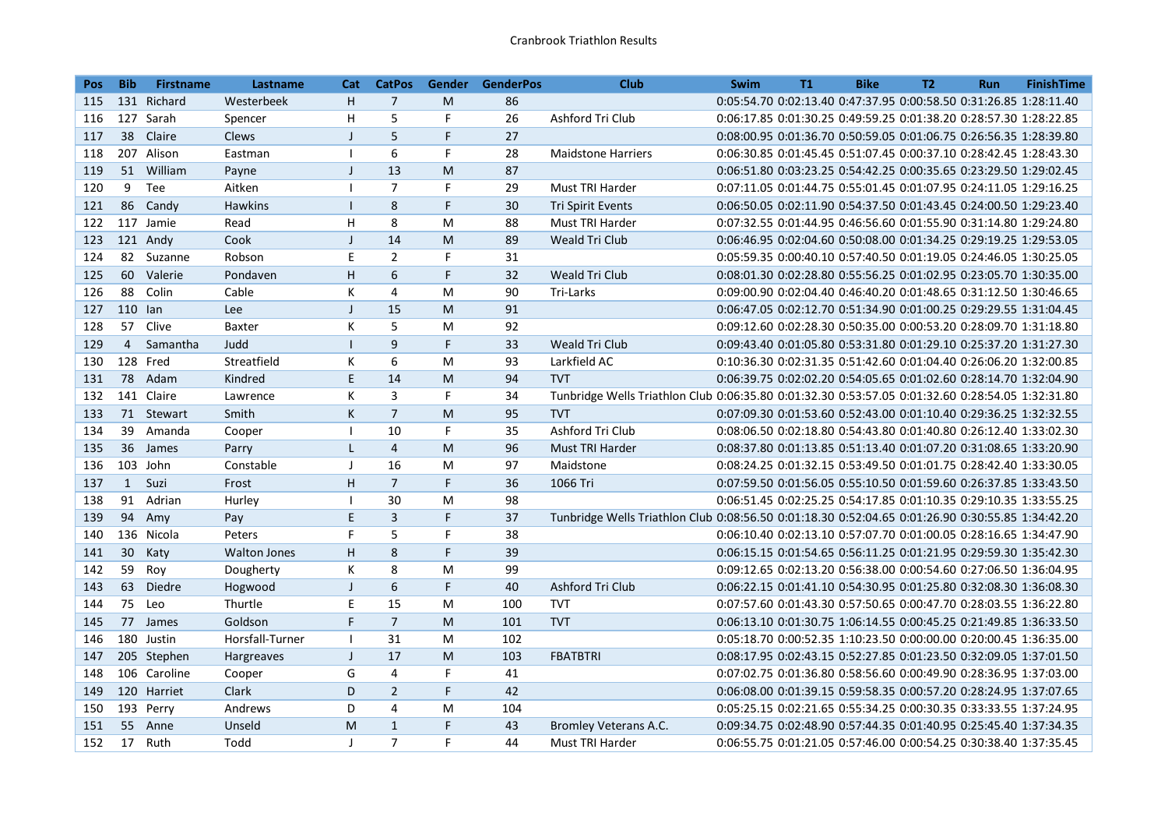| <b>Pos</b> | <b>Bib</b>     | <b>Firstname</b> | Lastname            | Cat            | <b>CatPos</b>  |             | Gender GenderPos | <b>Club</b>                                                                                      | <b>Swim</b> | T1 | <b>Bike</b> | <b>T2</b> | <b>Run</b>                                                        | <b>FinishTime</b> |
|------------|----------------|------------------|---------------------|----------------|----------------|-------------|------------------|--------------------------------------------------------------------------------------------------|-------------|----|-------------|-----------|-------------------------------------------------------------------|-------------------|
| 115        |                | 131 Richard      | Westerbeek          | H              | $\overline{7}$ | M           | 86               |                                                                                                  |             |    |             |           | 0:05:54.70 0:02:13.40 0:47:37.95 0:00:58.50 0:31:26.85 1:28:11.40 |                   |
| 116        |                | 127 Sarah        | Spencer             | Η              | 5              | F           | 26               | Ashford Tri Club                                                                                 |             |    |             |           | 0:06:17.85 0:01:30.25 0:49:59.25 0:01:38.20 0:28:57.30 1:28:22.85 |                   |
| 117        | 38             | Claire           | Clews               | J              | 5              | $\mathsf F$ | 27               |                                                                                                  |             |    |             |           | 0:08:00.95 0:01:36.70 0:50:59.05 0:01:06.75 0:26:56.35 1:28:39.80 |                   |
| 118        |                | 207 Alison       | Eastman             | $\overline{1}$ | 6              | F           | 28               | <b>Maidstone Harriers</b>                                                                        |             |    |             |           | 0:06:30.85 0:01:45.45 0:51:07.45 0:00:37.10 0:28:42.45 1:28:43.30 |                   |
| 119        |                | 51 William       | Payne               | $\mathbf{I}$   | 13             | M           | 87               |                                                                                                  |             |    |             |           | 0:06:51.80 0:03:23.25 0:54:42.25 0:00:35.65 0:23:29.50 1:29:02.45 |                   |
| 120        | 9              | Tee              | Aitken              | $\overline{1}$ | $\overline{7}$ | F           | 29               | Must TRI Harder                                                                                  |             |    |             |           | 0:07:11.05 0:01:44.75 0:55:01.45 0:01:07.95 0:24:11.05 1:29:16.25 |                   |
| 121        | 86             | Candy            | Hawkins             | $\mathbf{I}$   | 8              | F           | 30               | <b>Tri Spirit Events</b>                                                                         |             |    |             |           | 0:06:50.05 0:02:11.90 0:54:37.50 0:01:43.45 0:24:00.50 1:29:23.40 |                   |
| 122        |                | 117 Jamie        | Read                | H              | 8              | M           | 88               | <b>Must TRI Harder</b>                                                                           |             |    |             |           | 0:07:32.55 0:01:44.95 0:46:56.60 0:01:55.90 0:31:14.80 1:29:24.80 |                   |
| 123        |                | 121 Andy         | Cook                | J              | 14             | M           | 89               | Weald Tri Club                                                                                   |             |    |             |           | 0:06:46.95 0:02:04.60 0:50:08.00 0:01:34.25 0:29:19.25 1:29:53.05 |                   |
| 124        |                | 82 Suzanne       | Robson              | E              | $\overline{2}$ | F           | 31               |                                                                                                  |             |    |             |           | 0:05:59.35 0:00:40.10 0:57:40.50 0:01:19.05 0:24:46.05 1:30:25.05 |                   |
| 125        | 60             | Valerie          | Pondaven            | H              | 6              | F.          | 32               | Weald Tri Club                                                                                   |             |    |             |           | 0:08:01.30 0:02:28.80 0:55:56.25 0:01:02.95 0:23:05.70 1:30:35.00 |                   |
| 126        | 88             | Colin            | Cable               | К              | $\overline{4}$ | M           | 90               | Tri-Larks                                                                                        |             |    |             |           | 0:09:00.90 0:02:04.40 0:46:40.20 0:01:48.65 0:31:12.50 1:30:46.65 |                   |
| 127        | 110 lan        |                  | Lee                 | $\perp$        | 15             | M           | 91               |                                                                                                  |             |    |             |           | 0:06:47.05 0:02:12.70 0:51:34.90 0:01:00.25 0:29:29.55 1:31:04.45 |                   |
| 128        | 57             | Clive            | Baxter              | К              | 5              | M           | 92               |                                                                                                  |             |    |             |           | 0:09:12.60 0:02:28.30 0:50:35.00 0:00:53.20 0:28:09.70 1:31:18.80 |                   |
| 129        | $\overline{4}$ | Samantha         | Judd                | $\mathbf{I}$   | 9              | F           | 33               | <b>Weald Tri Club</b>                                                                            |             |    |             |           | 0:09:43.40 0:01:05.80 0:53:31.80 0:01:29.10 0:25:37.20 1:31:27.30 |                   |
| 130        |                | 128 Fred         | Streatfield         | К              | 6              | M           | 93               | Larkfield AC                                                                                     |             |    |             |           | 0:10:36.30 0:02:31.35 0:51:42.60 0:01:04.40 0:26:06.20 1:32:00.85 |                   |
| 131        |                | 78 Adam          | Kindred             | E.             | 14             | M           | 94               | <b>TVT</b>                                                                                       |             |    |             |           | 0:06:39.75 0:02:02.20 0:54:05.65 0:01:02.60 0:28:14.70 1:32:04.90 |                   |
| 132        |                | 141 Claire       | Lawrence            | K              | 3              | F.          | 34               | Tunbridge Wells Triathlon Club 0:06:35.80 0:01:32.30 0:53:57.05 0:01:32.60 0:28:54.05 1:32:31.80 |             |    |             |           |                                                                   |                   |
| 133        |                | 71 Stewart       | Smith               | K              | $\overline{7}$ | M           | 95               | <b>TVT</b>                                                                                       |             |    |             |           | 0:07:09.30 0:01:53.60 0:52:43.00 0:01:10.40 0:29:36.25 1:32:32.55 |                   |
| 134        |                | 39 Amanda        | Cooper              | $\mathbf{I}$   | 10             | E           | 35               | Ashford Tri Club                                                                                 |             |    |             |           | 0:08:06.50 0:02:18.80 0:54:43.80 0:01:40.80 0:26:12.40 1:33:02.30 |                   |
| 135        |                | 36 James         | Parry               | L.             | $\overline{4}$ | M           | 96               | <b>Must TRI Harder</b>                                                                           |             |    |             |           | 0:08:37.80 0:01:13.85 0:51:13.40 0:01:07.20 0:31:08.65 1:33:20.90 |                   |
| 136        |                | 103 John         | Constable           | J              | 16             | M           | 97               | Maidstone                                                                                        |             |    |             |           | 0:08:24.25 0:01:32.15 0:53:49.50 0:01:01.75 0:28:42.40 1:33:30.05 |                   |
| 137        | 1              | Suzi             | Frost               | H              | $\overline{7}$ | F           | 36               | 1066 Tri                                                                                         |             |    |             |           | 0:07:59.50 0:01:56.05 0:55:10.50 0:01:59.60 0:26:37.85 1:33:43.50 |                   |
| 138        | 91             | Adrian           | Hurley              | $\mathbf{I}$   | 30             | M           | 98               |                                                                                                  |             |    |             |           | 0:06:51.45 0:02:25.25 0:54:17.85 0:01:10.35 0:29:10.35 1:33:55.25 |                   |
| 139        | 94             | Amy              | Pay                 | E.             | $\overline{3}$ | F           | 37               | Tunbridge Wells Triathlon Club 0:08:56.50 0:01:18.30 0:52:04.65 0:01:26.90 0:30:55.85 1:34:42.20 |             |    |             |           |                                                                   |                   |
| 140        |                | 136 Nicola       | Peters              | F              | 5              | F           | 38               |                                                                                                  |             |    |             |           | 0:06:10.40 0:02:13.10 0:57:07.70 0:01:00.05 0:28:16.65 1:34:47.90 |                   |
| 141        | 30             | Katy             | <b>Walton Jones</b> | H              | 8              | F           | 39               |                                                                                                  |             |    |             |           | 0:06:15.15 0:01:54.65 0:56:11.25 0:01:21.95 0:29:59.30 1:35:42.30 |                   |
| 142        | 59             | Roy              | Dougherty           | К              | 8              | M           | 99               |                                                                                                  |             |    |             |           | 0:09:12.65 0:02:13.20 0:56:38.00 0:00:54.60 0:27:06.50 1:36:04.95 |                   |
| 143        | 63             | <b>Diedre</b>    | Hogwood             | $\perp$        | 6              | F           | 40               | Ashford Tri Club                                                                                 |             |    |             |           | 0:06:22.15 0:01:41.10 0:54:30.95 0:01:25.80 0:32:08.30 1:36:08.30 |                   |
| 144        | 75             | Leo              | Thurtle             | E              | 15             | M           | 100              | <b>TVT</b>                                                                                       |             |    |             |           | 0:07:57.60 0:01:43.30 0:57:50.65 0:00:47.70 0:28:03.55 1:36:22.80 |                   |
| 145        |                | 77 James         | Goldson             | F.             | $\overline{7}$ | M           | 101              | <b>TVT</b>                                                                                       |             |    |             |           | 0:06:13.10 0:01:30.75 1:06:14.55 0:00:45.25 0:21:49.85 1:36:33.50 |                   |
| 146        |                | 180 Justin       | Horsfall-Turner     | $\mathbf{I}$   | 31             | M           | 102              |                                                                                                  |             |    |             |           | 0:05:18.70 0:00:52.35 1:10:23.50 0:00:00.00 0:20:00.45 1:36:35.00 |                   |
| 147        |                | 205 Stephen      | Hargreaves          | $\perp$        | 17             | M           | 103              | <b>FBATBTRI</b>                                                                                  |             |    |             |           | 0:08:17.95 0:02:43.15 0:52:27.85 0:01:23.50 0:32:09.05 1:37:01.50 |                   |
| 148        |                | 106 Caroline     | Cooper              | G              | 4              | $\mathsf F$ | 41               |                                                                                                  |             |    |             |           | 0:07:02.75 0:01:36.80 0:58:56.60 0:00:49.90 0:28:36.95 1:37:03.00 |                   |
| 149        |                | 120 Harriet      | Clark               | D              | $\overline{2}$ | F.          | 42               |                                                                                                  |             |    |             |           | 0:06:08.00 0:01:39.15 0:59:58.35 0:00:57.20 0:28:24.95 1:37:07.65 |                   |
| 150        |                | 193 Perry        | Andrews             | D              | 4              | M           | 104              |                                                                                                  |             |    |             |           | 0:05:25.15 0:02:21.65 0:55:34.25 0:00:30.35 0:33:33.55 1:37:24.95 |                   |
| 151        |                | 55 Anne          | Unseld              | ${\sf M}$      | $\mathbf{1}$   | $\mathsf F$ | 43               | Bromley Veterans A.C.                                                                            |             |    |             |           | 0:09:34.75 0:02:48.90 0:57:44.35 0:01:40.95 0:25:45.40 1:37:34.35 |                   |
| 152        | 17             | Ruth             | Todd                | $\perp$        | $\overline{7}$ | F           | 44               | Must TRI Harder                                                                                  |             |    |             |           | 0:06:55.75 0:01:21.05 0:57:46.00 0:00:54.25 0:30:38.40 1:37:35.45 |                   |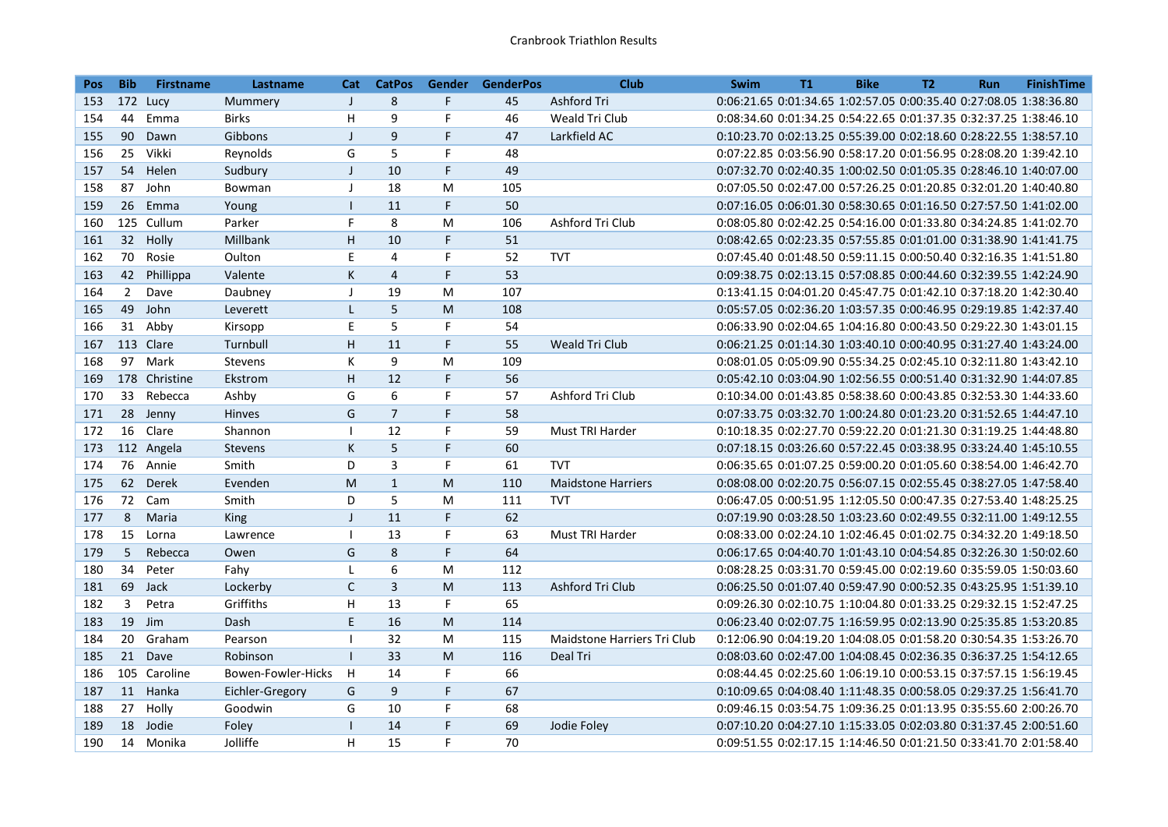| <b>Pos</b> | <b>Bib</b>      | <b>Firstname</b> | Lastname           | Cat                      | <b>CatPos</b>  | Gender | <b>GenderPos</b> | <b>Club</b>                 | <b>Swim</b>                                                       | <b>T1</b> | <b>Bike</b> | <b>T2</b> | <b>Run</b> | <b>FinishTime</b> |
|------------|-----------------|------------------|--------------------|--------------------------|----------------|--------|------------------|-----------------------------|-------------------------------------------------------------------|-----------|-------------|-----------|------------|-------------------|
| 153        |                 | 172 Lucy         | Mummery            | $\mathsf{J}$             | 8              | F.     | 45               | Ashford Tri                 | 0:06:21.65 0:01:34.65 1:02:57.05 0:00:35.40 0:27:08.05 1:38:36.80 |           |             |           |            |                   |
| 154        | 44              | Emma             | <b>Birks</b>       | H                        | 9              | F      | 46               | Weald Tri Club              | 0:08:34.60 0:01:34.25 0:54:22.65 0:01:37.35 0:32:37.25 1:38:46.10 |           |             |           |            |                   |
| 155        | 90              | Dawn             | Gibbons            | $\mathsf{I}$             | $\overline{9}$ | F      | 47               | Larkfield AC                | 0:10:23.70 0:02:13.25 0:55:39.00 0:02:18.60 0:28:22.55 1:38:57.10 |           |             |           |            |                   |
| 156        | 25              | Vikki            | Reynolds           | G                        | 5              | F      | 48               |                             | 0:07:22.85 0:03:56.90 0:58:17.20 0:01:56.95 0:28:08.20 1:39:42.10 |           |             |           |            |                   |
| 157        | 54              | Helen            | Sudbury            | $\mathsf{I}$             | 10             | F      | 49               |                             | 0:07:32.70 0:02:40.35 1:00:02.50 0:01:05.35 0:28:46.10 1:40:07.00 |           |             |           |            |                   |
| 158        | 87              | John             | Bowman             | J                        | 18             | M      | 105              |                             | 0:07:05.50 0:02:47.00 0:57:26.25 0:01:20.85 0:32:01.20 1:40:40.80 |           |             |           |            |                   |
| 159        | 26              | Emma             | Young              | $\mathbf{I}$             | 11             | F      | 50               |                             | 0:07:16.05 0:06:01.30 0:58:30.65 0:01:16.50 0:27:57.50 1:41:02.00 |           |             |           |            |                   |
| 160        |                 | 125 Cullum       | Parker             | F.                       | 8              | M      | 106              | Ashford Tri Club            | 0:08:05.80 0:02:42.25 0:54:16.00 0:01:33.80 0:34:24.85 1:41:02.70 |           |             |           |            |                   |
| 161        | 32 <sup>2</sup> | Holly            | Millbank           | H                        | 10             | F      | 51               |                             | 0:08:42.65 0:02:23.35 0:57:55.85 0:01:01.00 0:31:38.90 1:41:41.75 |           |             |           |            |                   |
| 162        | 70              | Rosie            | Oulton             | E                        | 4              | F      | 52               | <b>TVT</b>                  | 0:07:45.40 0:01:48.50 0:59:11.15 0:00:50.40 0:32:16.35 1:41:51.80 |           |             |           |            |                   |
| 163        | 42              | Phillippa        | Valente            | K                        | $\overline{4}$ | F.     | 53               |                             | 0:09:38.75 0:02:13.15 0:57:08.85 0:00:44.60 0:32:39.55 1:42:24.90 |           |             |           |            |                   |
| 164        | $\overline{2}$  | Dave             | Daubney            | J                        | 19             | M      | 107              |                             | 0:13:41.15 0:04:01.20 0:45:47.75 0:01:42.10 0:37:18.20 1:42:30.40 |           |             |           |            |                   |
| 165        | 49              | John             | Leverett           | L                        | 5              | M      | 108              |                             | 0:05:57.05 0:02:36.20 1:03:57.35 0:00:46.95 0:29:19.85 1:42:37.40 |           |             |           |            |                   |
| 166        | 31              | Abby             | Kirsopp            | E                        | 5              | F      | 54               |                             | 0:06:33.90 0:02:04.65 1:04:16.80 0:00:43.50 0:29:22.30 1:43:01.15 |           |             |           |            |                   |
| 167        |                 | 113 Clare        | Turnbull           | H                        | 11             | F      | 55               | Weald Tri Club              | 0:06:21.25 0:01:14.30 1:03:40.10 0:00:40.95 0:31:27.40 1:43:24.00 |           |             |           |            |                   |
| 168        | 97              | Mark             | <b>Stevens</b>     | К                        | 9              | M      | 109              |                             | 0:08:01.05 0:05:09.90 0:55:34.25 0:02:45.10 0:32:11.80 1:43:42.10 |           |             |           |            |                   |
| 169        |                 | 178 Christine    | Ekstrom            | H                        | 12             | F      | 56               |                             | 0:05:42.10 0:03:04.90 1:02:56.55 0:00:51.40 0:31:32.90 1:44:07.85 |           |             |           |            |                   |
| 170        | 33              | Rebecca          | Ashby              | G                        | 6              | F      | 57               | Ashford Tri Club            | 0:10:34.00 0:01:43.85 0:58:38.60 0:00:43.85 0:32:53.30 1:44:33.60 |           |             |           |            |                   |
| 171        |                 | 28 Jenny         | Hinves             | G                        | $\overline{7}$ | F      | 58               |                             | 0:07:33.75 0:03:32.70 1:00:24.80 0:01:23.20 0:31:52.65 1:44:47.10 |           |             |           |            |                   |
| 172        |                 | 16 Clare         | Shannon            | $\mathbf{I}$             | 12             | F      | 59               | Must TRI Harder             | 0:10:18.35 0:02:27.70 0:59:22.20 0:01:21.30 0:31:19.25 1:44:48.80 |           |             |           |            |                   |
| 173        |                 | 112 Angela       | <b>Stevens</b>     | K                        | 5              | F      | 60               |                             | 0:07:18.15 0:03:26.60 0:57:22.45 0:03:38.95 0:33:24.40 1:45:10.55 |           |             |           |            |                   |
| 174        |                 | 76 Annie         | Smith              | D                        | $\mathsf{3}$   | F      | 61               | <b>TVT</b>                  | 0:06:35.65 0:01:07.25 0:59:00.20 0:01:05.60 0:38:54.00 1:46:42.70 |           |             |           |            |                   |
| 175        | 62              | Derek            | Evenden            | ${\sf M}$                | $\mathbf{1}$   | M      | 110              | <b>Maidstone Harriers</b>   | 0:08:08.00 0:02:20.75 0:56:07.15 0:02:55.45 0:38:27.05 1:47:58.40 |           |             |           |            |                   |
| 176        |                 | 72 Cam           | Smith              | D                        | 5              | M      | 111              | <b>TVT</b>                  | 0:06:47.05 0:00:51.95 1:12:05.50 0:00:47.35 0:27:53.40 1:48:25.25 |           |             |           |            |                   |
| 177        | 8               | Maria            | <b>King</b>        | $\mathbf{J}$             | 11             | F      | 62               |                             | 0:07:19.90 0:03:28.50 1:03:23.60 0:02:49.55 0:32:11.00 1:49:12.55 |           |             |           |            |                   |
| 178        | 15              | Lorna            | Lawrence           | $\overline{1}$           | 13             | F      | 63               | Must TRI Harder             | 0:08:33.00 0:02:24.10 1:02:46.45 0:01:02.75 0:34:32.20 1:49:18.50 |           |             |           |            |                   |
| 179        | 5               | Rebecca          | Owen               | G                        | 8              | F      | 64               |                             | 0:06:17.65 0:04:40.70 1:01:43.10 0:04:54.85 0:32:26.30 1:50:02.60 |           |             |           |            |                   |
| 180        | 34              | Peter            | Fahy               | $\mathbf{I}$             | 6              | M      | 112              |                             | 0:08:28.25 0:03:31.70 0:59:45.00 0:02:19.60 0:35:59.05 1:50:03.60 |           |             |           |            |                   |
| 181        | 69              | Jack             | Lockerby           | $\mathsf{C}$             | $\overline{3}$ | M      | 113              | Ashford Tri Club            | 0:06:25.50 0:01:07.40 0:59:47.90 0:00:52.35 0:43:25.95 1:51:39.10 |           |             |           |            |                   |
| 182        | 3               | Petra            | Griffiths          | H                        | 13             | F      | 65               |                             | 0:09:26.30 0:02:10.75 1:10:04.80 0:01:33.25 0:29:32.15 1:52:47.25 |           |             |           |            |                   |
| 183        | 19              | Jim              | Dash               | E.                       | 16             | M      | 114              |                             | 0:06:23.40 0:02:07.75 1:16:59.95 0:02:13.90 0:25:35.85 1:53:20.85 |           |             |           |            |                   |
| 184        | 20              | Graham           | Pearson            | $\overline{\phantom{a}}$ | 32             | M      | 115              | Maidstone Harriers Tri Club | 0:12:06.90 0:04:19.20 1:04:08.05 0:01:58.20 0:30:54.35 1:53:26.70 |           |             |           |            |                   |
| 185        | 21              | Dave             | Robinson           | $\mathbf{I}$             | 33             | M      | 116              | Deal Tri                    | 0:08:03.60 0:02:47.00 1:04:08.45 0:02:36.35 0:36:37.25 1:54:12.65 |           |             |           |            |                   |
| 186        |                 | 105 Caroline     | Bowen-Fowler-Hicks | H                        | 14             | F      | 66               |                             | 0:08:44.45 0:02:25.60 1:06:19.10 0:00:53.15 0:37:57.15 1:56:19.45 |           |             |           |            |                   |
| 187        | 11              | Hanka            | Eichler-Gregory    | G                        | 9              | F      | 67               |                             | 0:10:09.65 0:04:08.40 1:11:48.35 0:00:58.05 0:29:37.25 1:56:41.70 |           |             |           |            |                   |
| 188        | 27              | Holly            | Goodwin            | G                        | 10             | F      | 68               |                             | 0:09:46.15 0:03:54.75 1:09:36.25 0:01:13.95 0:35:55.60 2:00:26.70 |           |             |           |            |                   |
| 189        |                 | 18 Jodie         | Foley              | $\mathbf{I}$             | 14             | F      | 69               | Jodie Foley                 | 0:07:10.20 0:04:27.10 1:15:33.05 0:02:03.80 0:31:37.45 2:00:51.60 |           |             |           |            |                   |
| 190        |                 | 14 Monika        | Jolliffe           | H                        | 15             | F      | 70               |                             | 0:09:51.55 0:02:17.15 1:14:46.50 0:01:21.50 0:33:41.70 2:01:58.40 |           |             |           |            |                   |